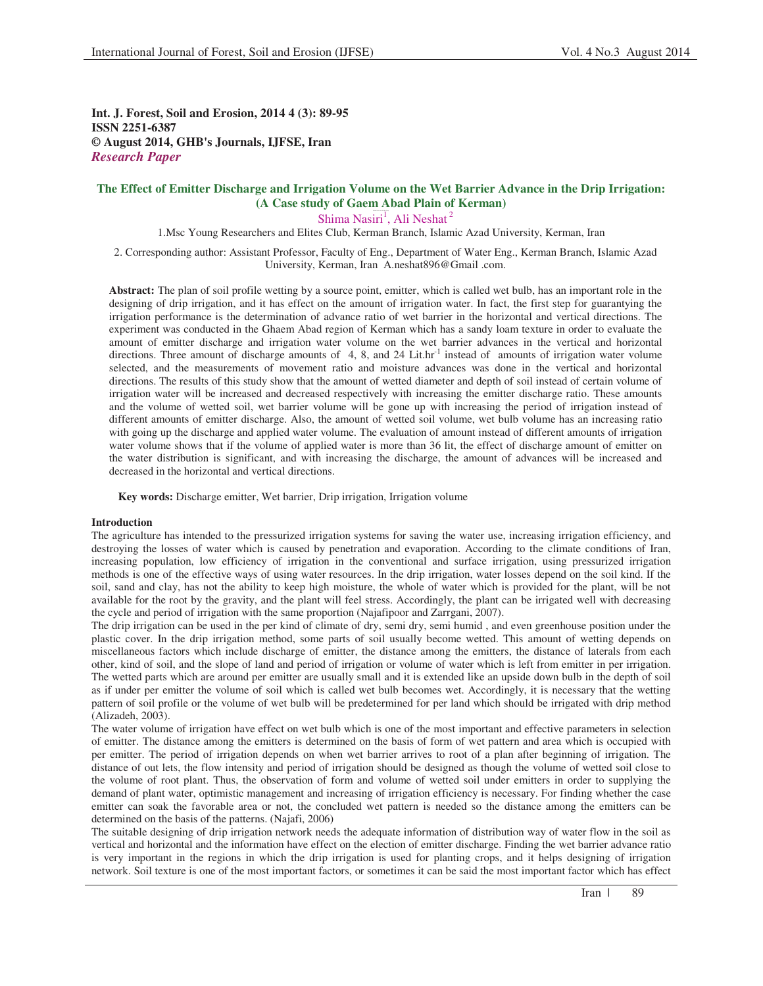**Int. J. Forest, Soil and Erosion, 2014 4 (3): 89-95 ISSN 2251-6387 © August 2014, GHB's Journals, IJFSE, Iran** *Research Paper*

# **The Effect of Emitter Discharge and Irrigation Volume on the Wet Barrier Advance in the Drip Irrigation: (A Case study of Gaem Abad Plain of Kerman)**

Shima Nasiri<sup>1</sup>, Ali Neshat<sup>2</sup>

1.Msc Young Researchers and Elites Club, Kerman Branch, Islamic Azad University, Kerman, Iran

2. Corresponding author: Assistant Professor, Faculty of Eng., Department of Water Eng., Kerman Branch, Islamic Azad University, Kerman, Iran A.neshat896@Gmail .com.

**Abstract:** The plan of soil profile wetting by a source point, emitter, which is called wet bulb, has an important role in the designing of drip irrigation, and it has effect on the amount of irrigation water. In fact, the first step for guarantying the irrigation performance is the determination of advance ratio of wet barrier in the horizontal and vertical directions. The experiment was conducted in the Ghaem Abad region of Kerman which has a sandy loam texture in order to evaluate the amount of emitter discharge and irrigation water volume on the wet barrier advances in the vertical and horizontal directions. Three amount of discharge amounts of 4, 8, and 24 Lit.hr<sup>-1</sup> instead of amounts of irrigation water volume selected, and the measurements of movement ratio and moisture advances was done in the vertical and horizontal directions. The results of this study show that the amount of wetted diameter and depth of soil instead of certain volume of irrigation water will be increased and decreased respectively with increasing the emitter discharge ratio. These amounts and the volume of wetted soil, wet barrier volume will be gone up with increasing the period of irrigation instead of different amounts of emitter discharge. Also, the amount of wetted soil volume, wet bulb volume has an increasing ratio with going up the discharge and applied water volume. The evaluation of amount instead of different amounts of irrigation water volume shows that if the volume of applied water is more than 36 lit, the effect of discharge amount of emitter on the water distribution is significant, and with increasing the discharge, the amount of advances will be increased and decreased in the horizontal and vertical directions.

**Key words:** Discharge emitter, Wet barrier, Drip irrigation, Irrigation volume

#### **Introduction**

The agriculture has intended to the pressurized irrigation systems for saving the water use, increasing irrigation efficiency, and destroying the losses of water which is caused by penetration and evaporation. According to the climate conditions of Iran, increasing population, low efficiency of irrigation in the conventional and surface irrigation, using pressurized irrigation methods is one of the effective ways of using water resources. In the drip irrigation, water losses depend on the soil kind. If the soil, sand and clay, has not the ability to keep high moisture, the whole of water which is provided for the plant, will be not available for the root by the gravity, and the plant will feel stress. Accordingly, the plant can be irrigated well with decreasing the cycle and period of irrigation with the same proportion (Najafipoor and Zarrgani, 2007).

The drip irrigation can be used in the per kind of climate of dry, semi dry, semi humid , and even greenhouse position under the plastic cover. In the drip irrigation method, some parts of soil usually become wetted. This amount of wetting depends on miscellaneous factors which include discharge of emitter, the distance among the emitters, the distance of laterals from each other, kind of soil, and the slope of land and period of irrigation or volume of water which is left from emitter in per irrigation. The wetted parts which are around per emitter are usually small and it is extended like an upside down bulb in the depth of soil as if under per emitter the volume of soil which is called wet bulb becomes wet. Accordingly, it is necessary that the wetting pattern of soil profile or the volume of wet bulb will be predetermined for per land which should be irrigated with drip method (Alizadeh, 2003).

The water volume of irrigation have effect on wet bulb which is one of the most important and effective parameters in selection of emitter. The distance among the emitters is determined on the basis of form of wet pattern and area which is occupied with per emitter. The period of irrigation depends on when wet barrier arrives to root of a plan after beginning of irrigation. The distance of out lets, the flow intensity and period of irrigation should be designed as though the volume of wetted soil close to the volume of root plant. Thus, the observation of form and volume of wetted soil under emitters in order to supplying the demand of plant water, optimistic management and increasing of irrigation efficiency is necessary. For finding whether the case emitter can soak the favorable area or not, the concluded wet pattern is needed so the distance among the emitters can be determined on the basis of the patterns. (Najafi, 2006)

The suitable designing of drip irrigation network needs the adequate information of distribution way of water flow in the soil as vertical and horizontal and the information have effect on the election of emitter discharge. Finding the wet barrier advance ratio is very important in the regions in which the drip irrigation is used for planting crops, and it helps designing of irrigation network. Soil texture is one of the most important factors, or sometimes it can be said the most important factor which has effect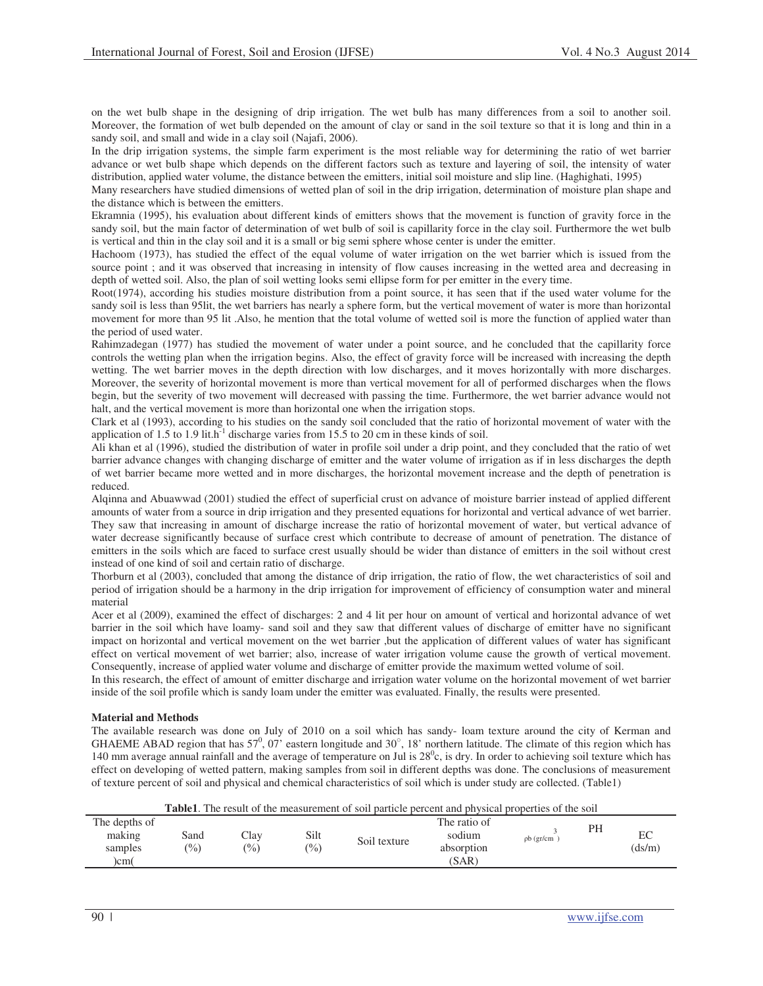on the wet bulb shape in the designing of drip irrigation. The wet bulb has many differences from a soil to another soil. Moreover, the formation of wet bulb depended on the amount of clay or sand in the soil texture so that it is long and thin in a sandy soil, and small and wide in a clay soil (Najafi, 2006).

In the drip irrigation systems, the simple farm experiment is the most reliable way for determining the ratio of wet barrier advance or wet bulb shape which depends on the different factors such as texture and layering of soil, the intensity of water distribution, applied water volume, the distance between the emitters, initial soil moisture and slip line. (Haghighati, 1995)

Many researchers have studied dimensions of wetted plan of soil in the drip irrigation, determination of moisture plan shape and the distance which is between the emitters.

Ekramnia (1995), his evaluation about different kinds of emitters shows that the movement is function of gravity force in the sandy soil, but the main factor of determination of wet bulb of soil is capillarity force in the clay soil. Furthermore the wet bulb is vertical and thin in the clay soil and it is a small or big semi sphere whose center is under the emitter.

Hachoom (1973), has studied the effect of the equal volume of water irrigation on the wet barrier which is issued from the source point ; and it was observed that increasing in intensity of flow causes increasing in the wetted area and decreasing in depth of wetted soil. Also, the plan of soil wetting looks semi ellipse form for per emitter in the every time.

Root(1974), according his studies moisture distribution from a point source, it has seen that if the used water volume for the sandy soil is less than 95lit, the wet barriers has nearly a sphere form, but the vertical movement of water is more than horizontal movement for more than 95 lit .Also, he mention that the total volume of wetted soil is more the function of applied water than the period of used water.

Rahimzadegan (1977) has studied the movement of water under a point source, and he concluded that the capillarity force controls the wetting plan when the irrigation begins. Also, the effect of gravity force will be increased with increasing the depth wetting. The wet barrier moves in the depth direction with low discharges, and it moves horizontally with more discharges. Moreover, the severity of horizontal movement is more than vertical movement for all of performed discharges when the flows begin, but the severity of two movement will decreased with passing the time. Furthermore, the wet barrier advance would not halt, and the vertical movement is more than horizontal one when the irrigation stops.

Clark et al (1993), according to his studies on the sandy soil concluded that the ratio of horizontal movement of water with the application of 1.5 to 1.9 lit.h<sup>-1</sup> discharge varies from 15.5 to 20 cm in these kinds of soil.

Ali khan et al (1996), studied the distribution of water in profile soil under a drip point, and they concluded that the ratio of wet barrier advance changes with changing discharge of emitter and the water volume of irrigation as if in less discharges the depth of wet barrier became more wetted and in more discharges, the horizontal movement increase and the depth of penetration is reduced.

Alqinna and Abuawwad (2001) studied the effect of superficial crust on advance of moisture barrier instead of applied different amounts of water from a source in drip irrigation and they presented equations for horizontal and vertical advance of wet barrier. They saw that increasing in amount of discharge increase the ratio of horizontal movement of water, but vertical advance of water decrease significantly because of surface crest which contribute to decrease of amount of penetration. The distance of emitters in the soils which are faced to surface crest usually should be wider than distance of emitters in the soil without crest instead of one kind of soil and certain ratio of discharge.

Thorburn et al (2003), concluded that among the distance of drip irrigation, the ratio of flow, the wet characteristics of soil and period of irrigation should be a harmony in the drip irrigation for improvement of efficiency of consumption water and mineral material

Acer et al (2009), examined the effect of discharges: 2 and 4 lit per hour on amount of vertical and horizontal advance of wet barrier in the soil which have loamy- sand soil and they saw that different values of discharge of emitter have no significant impact on horizontal and vertical movement on the wet barrier ,but the application of different values of water has significant effect on vertical movement of wet barrier; also, increase of water irrigation volume cause the growth of vertical movement. Consequently, increase of applied water volume and discharge of emitter provide the maximum wetted volume of soil.

In this research, the effect of amount of emitter discharge and irrigation water volume on the horizontal movement of wet barrier inside of the soil profile which is sandy loam under the emitter was evaluated. Finally, the results were presented.

# **Material and Methods**

The available research was done on July of 2010 on a soil which has sandy- loam texture around the city of Kerman and GHAEME ABAD region that has  $57^0$ ,  $07'$  eastern longitude and  $30^\circ$ , 18' northern latitude. The climate of this region which has 140 mm average annual rainfall and the average of temperature on Jul is  $28^\circ$ c, is dry. In order to achieving soil texture which has effect on developing of wetted pattern, making samples from soil in different depths was done. The conclusions of measurement of texture percent of soil and physical and chemical characteristics of soil which is under study are collected. (Table1)

**Table1**. The result of the measurement of soil particle percent and physical properties of the soil

| The depths of |               |                 |                 |              | The ratio of |              | PH |        |
|---------------|---------------|-----------------|-----------------|--------------|--------------|--------------|----|--------|
| making        | Sand          | Clay            | Silt            | Soil texture | sodium       | $pb$ (gr/cm) |    | EC     |
| samples       | $\frac{1}{2}$ | $\frac{(0)}{0}$ | $\frac{(0)}{0}$ |              | absorption   |              |    | (ds/m) |
| )cm(          |               |                 |                 |              | (SAR)        |              |    |        |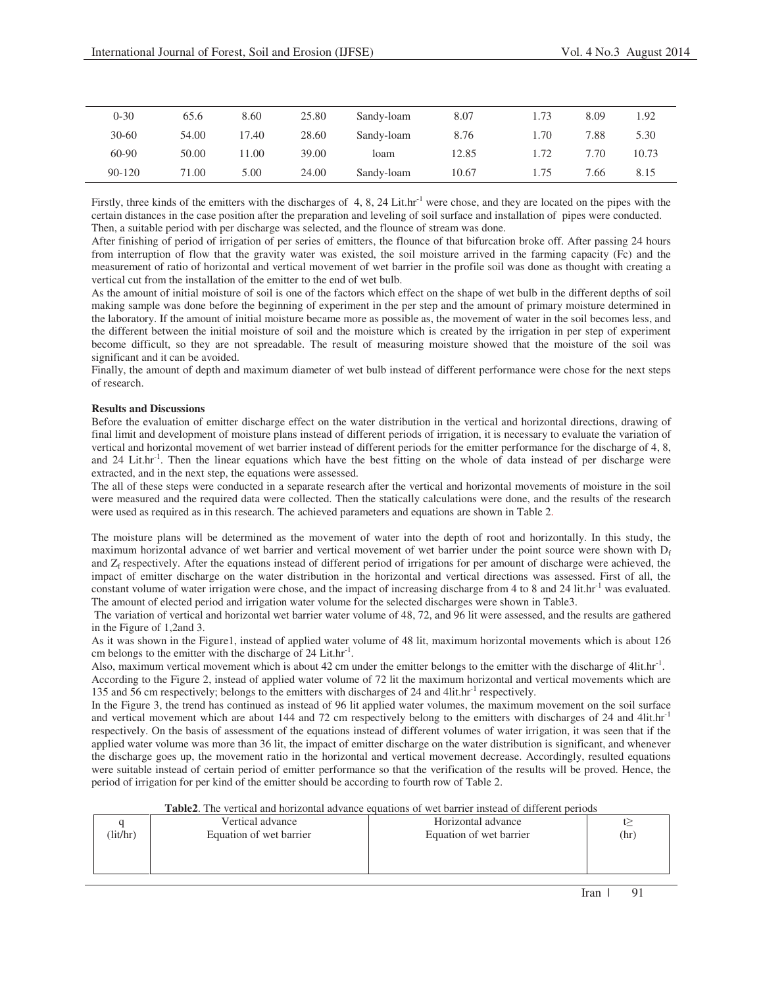| $0 - 30$   | 65.6  | 8.60  | 25.80 | Sandy-loam | 8.07  | 1.73 | 8.09 | .92   |
|------------|-------|-------|-------|------------|-------|------|------|-------|
| $30 - 60$  | 54.00 | 17.40 | 28.60 | Sandy-loam | 8.76  | 1.70 | 7.88 | 5.30  |
| $60 - 90$  | 50.00 | 11.00 | 39.00 | loam       | 12.85 | 1.72 | 7.70 | 10.73 |
| $90 - 120$ | 71.00 | 5.00  | 24.00 | Sandy-loam | 10.67 | 1.75 | 7.66 | 8.15  |

Firstly, three kinds of the emitters with the discharges of 4, 8, 24 Lit.hr<sup>-1</sup> were chose, and they are located on the pipes with the certain distances in the case position after the preparation and leveling of soil surface and installation of pipes were conducted. Then, a suitable period with per discharge was selected, and the flounce of stream was done.

After finishing of period of irrigation of per series of emitters, the flounce of that bifurcation broke off. After passing 24 hours from interruption of flow that the gravity water was existed, the soil moisture arrived in the farming capacity (Fc) and the measurement of ratio of horizontal and vertical movement of wet barrier in the profile soil was done as thought with creating a vertical cut from the installation of the emitter to the end of wet bulb.

As the amount of initial moisture of soil is one of the factors which effect on the shape of wet bulb in the different depths of soil making sample was done before the beginning of experiment in the per step and the amount of primary moisture determined in the laboratory. If the amount of initial moisture became more as possible as, the movement of water in the soil becomes less, and the different between the initial moisture of soil and the moisture which is created by the irrigation in per step of experiment become difficult, so they are not spreadable. The result of measuring moisture showed that the moisture of the soil was significant and it can be avoided.

Finally, the amount of depth and maximum diameter of wet bulb instead of different performance were chose for the next steps of research.

# **Results and Discussions**

Before the evaluation of emitter discharge effect on the water distribution in the vertical and horizontal directions, drawing of final limit and development of moisture plans instead of different periods of irrigation, it is necessary to evaluate the variation of vertical and horizontal movement of wet barrier instead of different periods for the emitter performance for the discharge of 4, 8, and 24 Lit.hr<sup>-1</sup>. Then the linear equations which have the best fitting on the whole of data instead of per discharge were extracted, and in the next step, the equations were assessed.

The all of these steps were conducted in a separate research after the vertical and horizontal movements of moisture in the soil were measured and the required data were collected. Then the statically calculations were done, and the results of the research were used as required as in this research. The achieved parameters and equations are shown in Table 2.

The moisture plans will be determined as the movement of water into the depth of root and horizontally. In this study, the maximum horizontal advance of wet barrier and vertical movement of wet barrier under the point source were shown with  $D_f$ and  $Z_f$  respectively. After the equations instead of different period of irrigations for per amount of discharge were achieved, the impact of emitter discharge on the water distribution in the horizontal and vertical directions was assessed. First of all, the constant volume of water irrigation were chose, and the impact of increasing discharge from 4 to 8 and 24 lit.hr<sup>-1</sup> was evaluated. The amount of elected period and irrigation water volume for the selected discharges were shown in Table3.

 The variation of vertical and horizontal wet barrier water volume of 48, 72, and 96 lit were assessed, and the results are gathered in the Figure of 1,2and 3.

As it was shown in the Figure1, instead of applied water volume of 48 lit, maximum horizontal movements which is about 126 cm belongs to the emitter with the discharge of  $24$  Lit.hr<sup>-1</sup>.

Also, maximum vertical movement which is about 42 cm under the emitter belongs to the emitter with the discharge of 4lit.hr<sup>-1</sup>.

According to the Figure 2, instead of applied water volume of 72 lit the maximum horizontal and vertical movements which are 135 and 56 cm respectively; belongs to the emitters with discharges of 24 and 4lit.hr<sup>-1</sup> respectively.

In the Figure 3, the trend has continued as instead of 96 lit applied water volumes, the maximum movement on the soil surface and vertical movement which are about 144 and 72 cm respectively belong to the emitters with discharges of 24 and 4lit.hr<sup>-1</sup> respectively. On the basis of assessment of the equations instead of different volumes of water irrigation, it was seen that if the applied water volume was more than 36 lit, the impact of emitter discharge on the water distribution is significant, and whenever the discharge goes up, the movement ratio in the horizontal and vertical movement decrease. Accordingly, resulted equations were suitable instead of certain period of emitter performance so that the verification of the results will be proved. Hence, the period of irrigation for per kind of the emitter should be according to fourth row of Table 2.

**Table2**. The vertical and horizontal advance equations of wet barrier instead of different periods

|         | Vertical advance        | Horizontal advance      |      |
|---------|-------------------------|-------------------------|------|
| lit/hr) | Equation of wet barrier | Equation of wet barrier | (hr) |
|         |                         |                         |      |
|         |                         |                         |      |
|         |                         |                         |      |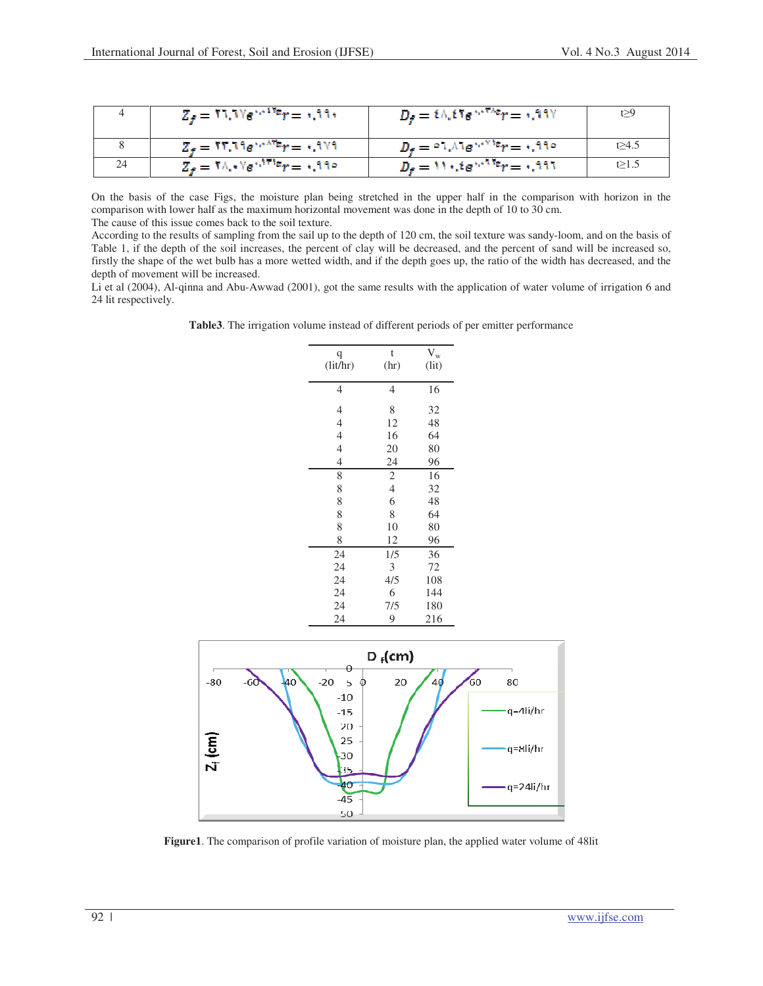|    | $Z_t = V \cdot V e^{t \cdot V \cdot V} = 1.11$                                                                                                                                                                                                                                                                                                                                                                                                                                            | $D_r = \ell \wedge \ell \Upsilon e^{i \omega \pi \wedge \epsilon} r = 1.11$ Y   | t $\geq$ 9   |
|----|-------------------------------------------------------------------------------------------------------------------------------------------------------------------------------------------------------------------------------------------------------------------------------------------------------------------------------------------------------------------------------------------------------------------------------------------------------------------------------------------|---------------------------------------------------------------------------------|--------------|
|    | $Z_f = \text{YY} \cdot \text{V} \cdot \text{V} \cdot \text{V} \cdot \text{V} \cdot \text{V} \cdot \text{V} \cdot \text{V} \cdot \text{V} \cdot \text{V} \cdot \text{V} \cdot \text{V} \cdot \text{V} \cdot \text{V} \cdot \text{V} \cdot \text{V} \cdot \text{V} \cdot \text{V} \cdot \text{V} \cdot \text{V} \cdot \text{V} \cdot \text{V} \cdot \text{V} \cdot \text{V} \cdot \text{V} \cdot \text{V} \cdot \text{V} \cdot \text{V} \cdot \text{V} \cdot \text{V} \cdot \text{V} \cdot$ | $D_{\rm f} = \circ 1$ . Alg $\cdot \cdot$ <sup>y</sup> $r = \cdot$ , 11 $\circ$ | t $\geq 4.5$ |
| 24 | $Z_f = \mathbf{Y} \wedge \cdot \mathbf{Y} e^{\mathbf{Y} \cdot \mathbf{Y} \cdot \mathbf{Y} t} r = \cdot \mathbf{X} \cdot \mathbf{Y}$                                                                                                                                                                                                                                                                                                                                                       | $D_f = W \cdot \xi e^{i\pi W t}r = 0.111$                                       | t $\geq$ 1.5 |

On the basis of the case Figs, the moisture plan being stretched in the upper half in the comparison with horizon in the comparison with lower half as the maximum horizontal movement was done in the depth of 10 to 30 cm. The cause of this issue comes back to the soil texture.

According to the results of sampling from the sail up to the depth of 120 cm, the soil texture was sandy-loom, and on the basis of Table 1, if the depth of the soil increases, the percent of clay will be decreased, and the percent of sand will be increased so, firstly the shape of the wet bulb has a more wetted width, and if the depth goes up, the ratio of the width has decreased, and the depth of movement will be increased.

Li et al (2004), Al-qinna and Abu-Awwad (2001), got the same results with the application of water volume of irrigation 6 and 24 lit respectively.

**Table3**. The irrigation volume instead of different periods of per emitter performance

| q              | t              | $V_w$ |
|----------------|----------------|-------|
| (lit/hr)       | (hr)           | (lit) |
|                |                |       |
| 4              | 4              | 16    |
| 4              | 8              | 32    |
| 4              | 12             | 48    |
| 4              | 16             | 64    |
| $\overline{4}$ | 20             | 80    |
| $\overline{4}$ | 24             | 96    |
|                |                |       |
| 8              | $\mathfrak{2}$ | 16    |
| 8              | $\overline{4}$ | 32    |
| 8              | 6              | 48    |
| 8              | 8              | 64    |
| 8              | 10             | 80    |
| 8              | 12             | 96    |
| 24             | 1/5            | 36    |
| 24             | 3              | 72    |
| 24             | 4/5            | 108   |
| 24             | 6              | 144   |
| 24             | 7/5            | 180   |
| 24             | 9              | 216   |



**Figure1**. The comparison of profile variation of moisture plan, the applied water volume of 48lit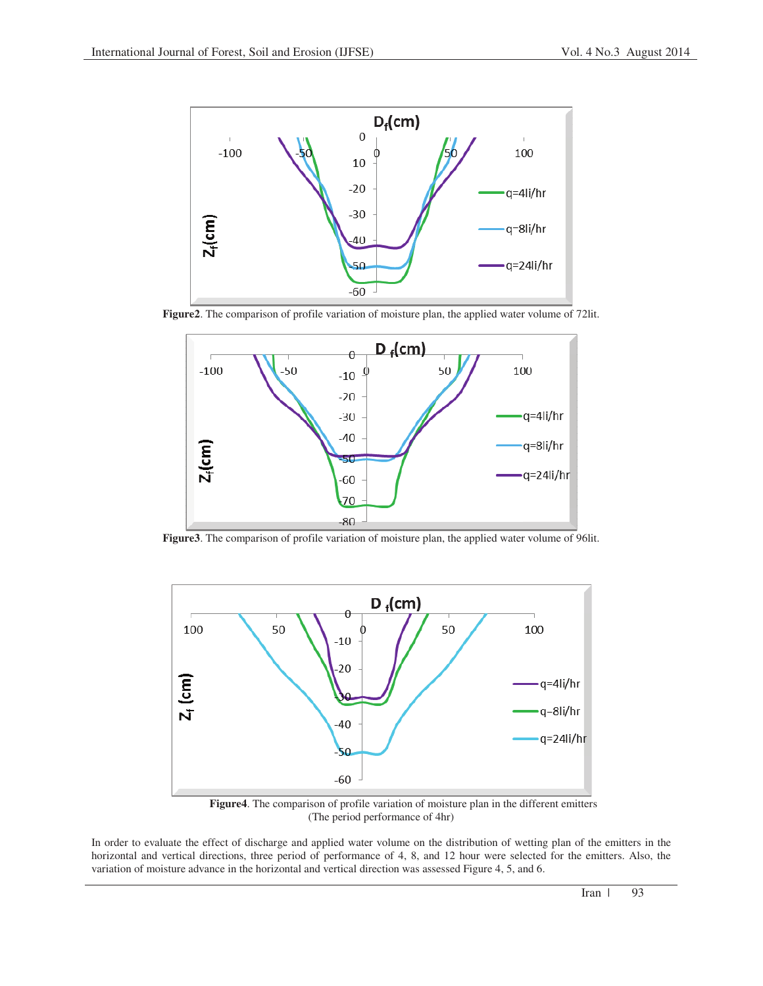

**Figure2**. The comparison of profile variation of moisture plan, the applied water volume of 72lit.



**Figure3**. The comparison of profile variation of moisture plan, the applied water volume of 96lit.



**Figure4**. The comparison of profile variation of moisture plan in the different emitters (The period performance of 4hr)

In order to evaluate the effect of discharge and applied water volume on the distribution of wetting plan of the emitters in the horizontal and vertical directions, three period of performance of 4, 8, and 12 hour were selected for the emitters. Also, the variation of moisture advance in the horizontal and vertical direction was assessed Figure 4, 5, and 6.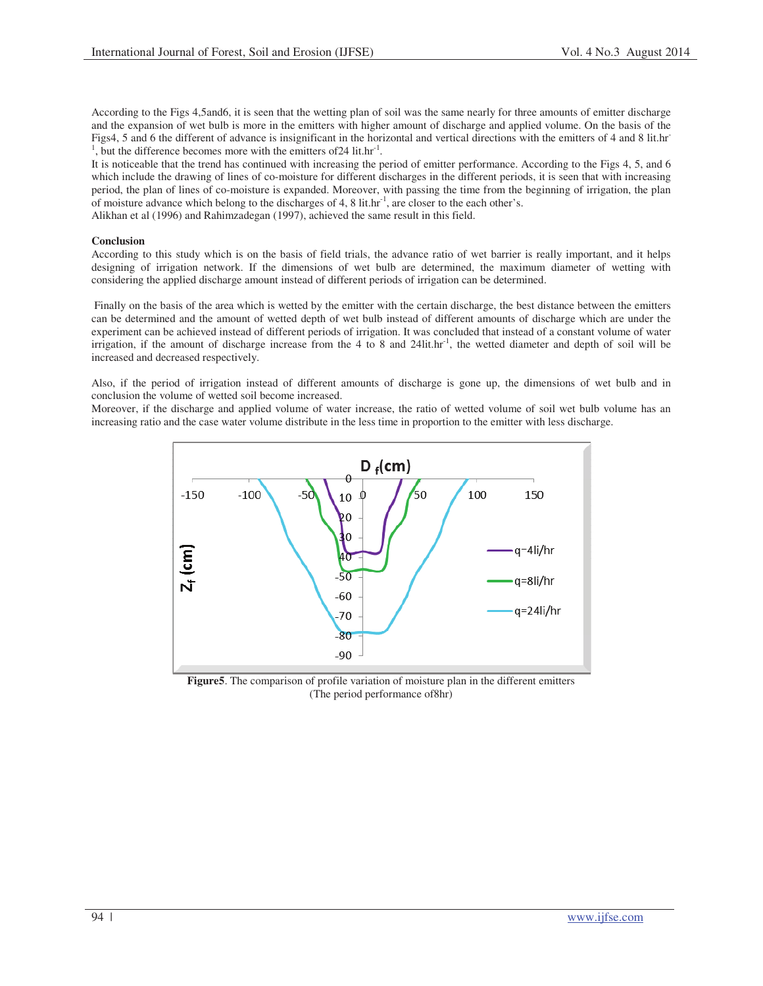According to the Figs 4,5and6, it is seen that the wetting plan of soil was the same nearly for three amounts of emitter discharge and the expansion of wet bulb is more in the emitters with higher amount of discharge and applied volume. On the basis of the Figs4, 5 and 6 the different of advance is insignificant in the horizontal and vertical directions with the emitters of 4 and 8 lit.hr-<sup>1</sup>, but the difference becomes more with the emitters of 24 lit.hr<sup>-1</sup>.

It is noticeable that the trend has continued with increasing the period of emitter performance. According to the Figs 4, 5, and 6 which include the drawing of lines of co-moisture for different discharges in the different periods, it is seen that with increasing period, the plan of lines of co-moisture is expanded. Moreover, with passing the time from the beginning of irrigation, the plan of moisture advance which belong to the discharges of 4, 8 lit.hr-1, are closer to the each other's. Alikhan et al (1996) and Rahimzadegan (1997), achieved the same result in this field.

# **Conclusion**

According to this study which is on the basis of field trials, the advance ratio of wet barrier is really important, and it helps designing of irrigation network. If the dimensions of wet bulb are determined, the maximum diameter of wetting with considering the applied discharge amount instead of different periods of irrigation can be determined.

 Finally on the basis of the area which is wetted by the emitter with the certain discharge, the best distance between the emitters can be determined and the amount of wetted depth of wet bulb instead of different amounts of discharge which are under the experiment can be achieved instead of different periods of irrigation. It was concluded that instead of a constant volume of water irrigation, if the amount of discharge increase from the 4 to 8 and 24lit.hr<sup>-1</sup>, the wetted diameter and depth of soil will be increased and decreased respectively.

Also, if the period of irrigation instead of different amounts of discharge is gone up, the dimensions of wet bulb and in conclusion the volume of wetted soil become increased.

Moreover, if the discharge and applied volume of water increase, the ratio of wetted volume of soil wet bulb volume has an increasing ratio and the case water volume distribute in the less time in proportion to the emitter with less discharge.



**Figure5**. The comparison of profile variation of moisture plan in the different emitters (The period performance of8hr)